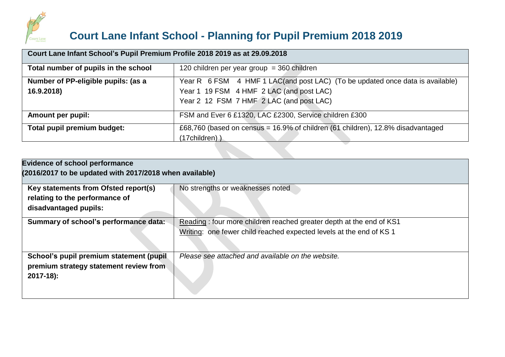

## **Court Lane Infant School - Planning for Pupil Premium 2018 2019**

| Court Lane Infant School's Pupil Premium Profile 2018 2019 as at 29.09.2018 |                                                                                                                                                                       |  |  |  |  |  |
|-----------------------------------------------------------------------------|-----------------------------------------------------------------------------------------------------------------------------------------------------------------------|--|--|--|--|--|
| Total number of pupils in the school                                        | 120 children per year group = 360 children                                                                                                                            |  |  |  |  |  |
| Number of PP-eligible pupils: (as a<br>16.9.2018)                           | Year R 6 FSM 4 HMF 1 LAC(and post LAC) (To be updated once data is available)<br>Year 1 19 FSM 4 HMF 2 LAC (and post LAC)<br>Year 2 12 FSM 7 HMF 2 LAC (and post LAC) |  |  |  |  |  |
| <b>Amount per pupil:</b>                                                    | FSM and Ever 6 £1320, LAC £2300, Service children £300                                                                                                                |  |  |  |  |  |
| Total pupil premium budget:                                                 | £68,760 (based on census = 16.9% of children (61 children), 12.8% disadvantaged<br>(17children) )                                                                     |  |  |  |  |  |
|                                                                             |                                                                                                                                                                       |  |  |  |  |  |

| <b>Evidence of school performance</b><br>(2016/2017 to be updated with 2017/2018 when available) |                                                                     |  |  |  |  |  |
|--------------------------------------------------------------------------------------------------|---------------------------------------------------------------------|--|--|--|--|--|
| Key statements from Ofsted report(s)<br>relating to the performance of<br>disadvantaged pupils:  | No strengths or weaknesses noted                                    |  |  |  |  |  |
| Summary of school's performance data:                                                            | Reading: four more children reached greater depth at the end of KS1 |  |  |  |  |  |
|                                                                                                  | Writing: one fewer child reached expected levels at the end of KS 1 |  |  |  |  |  |
| School's pupil premium statement (pupil                                                          | Please see attached and available on the website.                   |  |  |  |  |  |
| premium strategy statement review from                                                           |                                                                     |  |  |  |  |  |
| $2017 - 18$ :                                                                                    |                                                                     |  |  |  |  |  |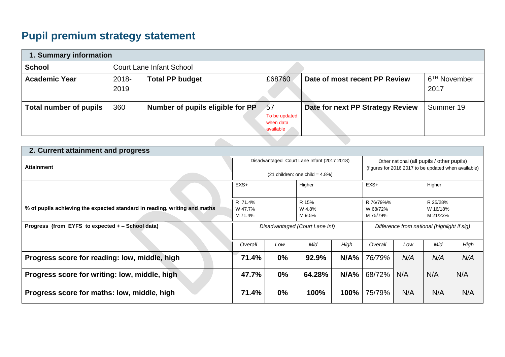## **Pupil premium strategy statement**

| 1. Summary information |               |                                  |                                               |                                  |                                  |  |  |  |
|------------------------|---------------|----------------------------------|-----------------------------------------------|----------------------------------|----------------------------------|--|--|--|
| <b>School</b>          |               | <b>Court Lane Infant School</b>  |                                               |                                  |                                  |  |  |  |
| <b>Academic Year</b>   | 2018-<br>2019 | <b>Total PP budget</b>           | £68760                                        | Date of most recent PP Review    | 6 <sup>TH</sup> November<br>2017 |  |  |  |
| Total number of pupils | 360           | Number of pupils eligible for PP | 57<br>To be updated<br>when data<br>available | Date for next PP Strategy Review | Summer 19                        |  |  |  |
|                        |               |                                  |                                               |                                  |                                  |  |  |  |

| 2. Current attainment and progress                                        |                                                                                  |                           |        |                                                                                                    |         |                                  |     |      |
|---------------------------------------------------------------------------|----------------------------------------------------------------------------------|---------------------------|--------|----------------------------------------------------------------------------------------------------|---------|----------------------------------|-----|------|
| <b>Attainment</b>                                                         | Disadvantaged Court Lane Infant (2017 2018)<br>$(21$ children: one child = 4.8%) |                           |        | Other national (all pupils / other pupils)<br>(figures for 2016 2017 to be updated when available) |         |                                  |     |      |
|                                                                           | $EXS+$<br>Higher                                                                 |                           | $EXS+$ |                                                                                                    | Higher  |                                  |     |      |
| % of pupils achieving the expected standard in reading, writing and maths | R 71.4%<br>W 47.7%<br>M 71.4%                                                    | R 15%<br>W 4.8%<br>M 9.5% |        | R 76/79%%<br>W 68/72%<br>M 75/79%                                                                  |         | R 25/28%<br>W 16/18%<br>M 21/23% |     |      |
| Progress (from EYFS to expected + – School data)                          | Disadvantaged (Court Lane Inf)                                                   |                           |        | Difference from national (highlight if sig)                                                        |         |                                  |     |      |
|                                                                           | Overall                                                                          | Low                       | Mid    | High                                                                                               | Overall | Low                              | Mid | High |
| Progress score for reading: low, middle, high                             | 71.4%                                                                            | $0\%$                     | 92.9%  | N/A%                                                                                               | 76/79%  | N/A                              | N/A | N/A  |
| Progress score for writing: low, middle, high                             | 47.7%                                                                            | $0\%$                     | 64.28% | N/A%                                                                                               | 68/72%  | N/A                              | N/A | N/A  |
| Progress score for maths: low, middle, high                               | 71.4%                                                                            | $0\%$                     | 100%   | 100%                                                                                               | 75/79%  | N/A                              | N/A | N/A  |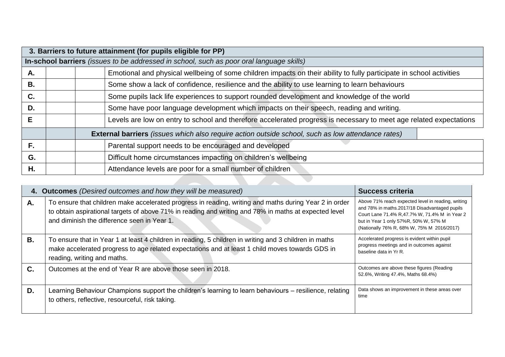|    | 3. Barriers to future attainment (for pupils eligible for PP)                               |                                                                                                                      |                                                                                                          |  |  |  |  |  |  |
|----|---------------------------------------------------------------------------------------------|----------------------------------------------------------------------------------------------------------------------|----------------------------------------------------------------------------------------------------------|--|--|--|--|--|--|
|    | In-school barriers (issues to be addressed in school, such as poor oral language skills)    |                                                                                                                      |                                                                                                          |  |  |  |  |  |  |
| А. |                                                                                             | Emotional and physical wellbeing of some children impacts on their ability to fully participate in school activities |                                                                                                          |  |  |  |  |  |  |
| В. |                                                                                             |                                                                                                                      | Some show a lack of confidence, resilience and the ability to use learning to learn behaviours           |  |  |  |  |  |  |
| C. | Some pupils lack life experiences to support rounded development and knowledge of the world |                                                                                                                      |                                                                                                          |  |  |  |  |  |  |
| D. | Some have poor language development which impacts on their speech, reading and writing.     |                                                                                                                      |                                                                                                          |  |  |  |  |  |  |
| Е  |                                                                                             | Levels are low on entry to school and therefore accelerated progress is necessary to meet age related expectations   |                                                                                                          |  |  |  |  |  |  |
|    |                                                                                             |                                                                                                                      | <b>External barriers</b> (issues which also require action outside school, such as low attendance rates) |  |  |  |  |  |  |
| F. |                                                                                             |                                                                                                                      | Parental support needs to be encouraged and developed                                                    |  |  |  |  |  |  |
| G. | Difficult home circumstances impacting on children's wellbeing                              |                                                                                                                      |                                                                                                          |  |  |  |  |  |  |
| Η. |                                                                                             |                                                                                                                      | Attendance levels are poor for a small number of children                                                |  |  |  |  |  |  |
|    |                                                                                             |                                                                                                                      |                                                                                                          |  |  |  |  |  |  |

|    | 4. Outcomes (Desired outcomes and how they will be measured)                                                                                                                                                                                                   | <b>Success criteria</b>                                                                                                                                                                                                                      |
|----|----------------------------------------------------------------------------------------------------------------------------------------------------------------------------------------------------------------------------------------------------------------|----------------------------------------------------------------------------------------------------------------------------------------------------------------------------------------------------------------------------------------------|
| А. | To ensure that children make accelerated progress in reading, writing and maths during Year 2 in order<br>to obtain aspirational targets of above 71% in reading and writing and 78% in maths at expected level<br>and diminish the difference seen in Year 1. | Above 71% reach expected level in reading, writing<br>and 78% in maths.2017/18 Disadvantaged pupils<br>Court Lane 71.4% R, 47.7% W, 71.4% M in Year 2<br>but in Year 1 only 57%R, 50% W, 57% M<br>(Nationally 76% R, 68% W, 75% M 2016/2017) |
| В. | To ensure that in Year 1 at least 4 children in reading, 5 children in writing and 3 children in maths<br>make accelerated progress to age related expectations and at least 1 child moves towards GDS in<br>reading, writing and maths.                       | Accelerated progress is evident within pupil<br>progress meetings and in outcomes against<br>baseline data in Yr R.                                                                                                                          |
| C. | Outcomes at the end of Year R are above those seen in 2018.                                                                                                                                                                                                    | Outcomes are above these figures (Reading<br>52.6%, Writing 47.4%, Maths 68.4%)                                                                                                                                                              |
| D. | Learning Behaviour Champions support the children's learning to learn behaviours - resilience, relating<br>to others, reflective, resourceful, risk taking.                                                                                                    | Data shows an improvement in these areas over<br>time                                                                                                                                                                                        |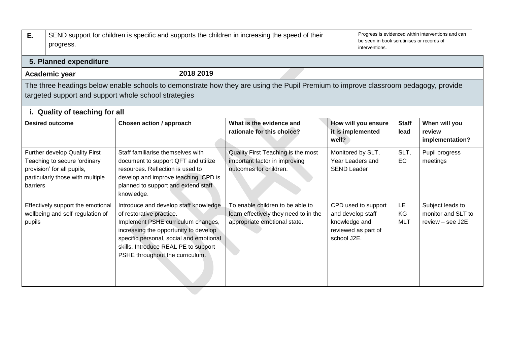| Ε.                         | progress.                                                                                                                                                                                  | SEND support for children is specific and supports the children in increasing the speed of their |                                                                                                                                                                                                         |                                                                                                           |                                                   |                                            |                        | Progress is evidenced within interventions and can<br>be seen in book scrutinises or records of<br>interventions. |  |  |  |
|----------------------------|--------------------------------------------------------------------------------------------------------------------------------------------------------------------------------------------|--------------------------------------------------------------------------------------------------|---------------------------------------------------------------------------------------------------------------------------------------------------------------------------------------------------------|-----------------------------------------------------------------------------------------------------------|---------------------------------------------------|--------------------------------------------|------------------------|-------------------------------------------------------------------------------------------------------------------|--|--|--|
|                            | 5. Planned expenditure                                                                                                                                                                     |                                                                                                  |                                                                                                                                                                                                         |                                                                                                           |                                                   |                                            |                        |                                                                                                                   |  |  |  |
| 2018 2019<br>Academic year |                                                                                                                                                                                            |                                                                                                  |                                                                                                                                                                                                         |                                                                                                           |                                                   |                                            |                        |                                                                                                                   |  |  |  |
|                            | The three headings below enable schools to demonstrate how they are using the Pupil Premium to improve classroom pedagogy, provide<br>targeted support and support whole school strategies |                                                                                                  |                                                                                                                                                                                                         |                                                                                                           |                                                   |                                            |                        |                                                                                                                   |  |  |  |
|                            | i. Quality of teaching for all                                                                                                                                                             |                                                                                                  |                                                                                                                                                                                                         |                                                                                                           |                                                   |                                            |                        |                                                                                                                   |  |  |  |
|                            | <b>Desired outcome</b>                                                                                                                                                                     | Chosen action / approach                                                                         |                                                                                                                                                                                                         | What is the evidence and<br>rationale for this choice?                                                    | well?                                             | How will you ensure<br>it is implemented   | <b>Staff</b><br>lead   | When will you<br>review<br>implementation?                                                                        |  |  |  |
| barriers                   | Further develop Quality First<br>Teaching to secure 'ordinary<br>provision' for all pupils,<br>particularly those with multiple                                                            | Staff familiarise themselves with<br>resources. Reflection is used to<br>knowledge.              | document to support QFT and utilize<br>develop and improve teaching. CPD is<br>planned to support and extend staff                                                                                      | Quality First Teaching is the most<br>important factor in improving<br>outcomes for children.             | Year Leaders and<br><b>SEND Leader</b>            | Monitored by SLT,                          | SLT,<br><b>EC</b>      | Pupil progress<br>meetings                                                                                        |  |  |  |
| pupils                     | Effectively support the emotional<br>wellbeing and self-regulation of                                                                                                                      | of restorative practice.<br>PSHE throughout the curriculum.                                      | Introduce and develop staff knowledge<br>Implement PSHE curriculum changes,<br>increasing the opportunity to develop<br>specific personal, social and emotional<br>skills. Introduce REAL PE to support | To enable children to be able to<br>learn effectively they need to in the<br>appropriate emotional state. | and develop staff<br>knowledge and<br>school J2E. | CPD used to support<br>reviewed as part of | LE<br>KG<br><b>MLT</b> | Subject leads to<br>monitor and SLT to<br>review - see J2E                                                        |  |  |  |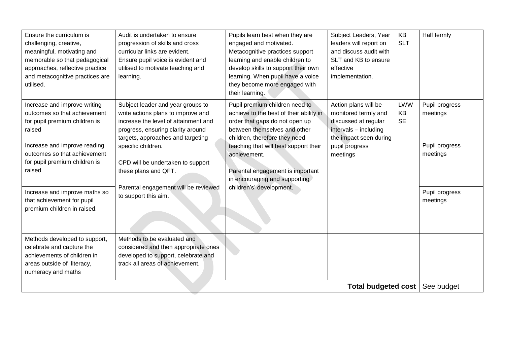| Ensure the curriculum is<br>challenging, creative,<br>meaningful, motivating and<br>memorable so that pedagogical<br>approaches, reflective practice<br>and metacognitive practices are<br>utilised.                                                                                                             | Audit is undertaken to ensure<br>progression of skills and cross<br>curricular links are evident.<br>Ensure pupil voice is evident and<br>utilised to motivate teaching and<br>learning.                                                                                                                                                     | Pupils learn best when they are<br>engaged and motivated.<br>Metacognitive practices support<br>learning and enable children to<br>develop skills to support their own<br>learning. When pupil have a voice<br>they become more engaged with<br>their learning.                                                                        | Subject Leaders, Year<br>leaders will report on<br>and discuss audit with<br>SLT and KB to ensure<br>effective<br>implementation.                     | KB<br><b>SLT</b>       | Half termly                                                                            |
|------------------------------------------------------------------------------------------------------------------------------------------------------------------------------------------------------------------------------------------------------------------------------------------------------------------|----------------------------------------------------------------------------------------------------------------------------------------------------------------------------------------------------------------------------------------------------------------------------------------------------------------------------------------------|----------------------------------------------------------------------------------------------------------------------------------------------------------------------------------------------------------------------------------------------------------------------------------------------------------------------------------------|-------------------------------------------------------------------------------------------------------------------------------------------------------|------------------------|----------------------------------------------------------------------------------------|
| Increase and improve writing<br>outcomes so that achievement<br>for pupil premium children is<br>raised<br>Increase and improve reading<br>outcomes so that achievement<br>for pupil premium children is<br>raised<br>Increase and improve maths so<br>that achievement for pupil<br>premium children in raised. | Subject leader and year groups to<br>write actions plans to improve and<br>increase the level of attainment and<br>progress, ensuring clarity around<br>targets, approaches and targeting<br>specific children.<br>CPD will be undertaken to support<br>these plans and QFT.<br>Parental engagement will be reviewed<br>to support this aim. | Pupil premium children need to<br>achieve to the best of their ability in<br>order that gaps do not open up<br>between themselves and other<br>children, therefore they need<br>teaching that will best support their<br>achievement.<br>Parental engagement is important<br>in encouraging and supporting<br>children's' development. | Action plans will be<br>monitored termly and<br>discussed at regular<br>intervals - including<br>the impact seen during<br>pupil progress<br>meetings | LWW<br>KB<br><b>SE</b> | Pupil progress<br>meetings<br>Pupil progress<br>meetings<br>Pupil progress<br>meetings |
| Methods developed to support,<br>celebrate and capture the<br>achievements of children in<br>areas outside of literacy,<br>numeracy and maths                                                                                                                                                                    | Methods to be evaluated and<br>considered and then appropriate ones<br>developed to support, celebrate and<br>track all areas of achievement.                                                                                                                                                                                                |                                                                                                                                                                                                                                                                                                                                        | <b>Total budgeted cost</b>                                                                                                                            |                        | See budget                                                                             |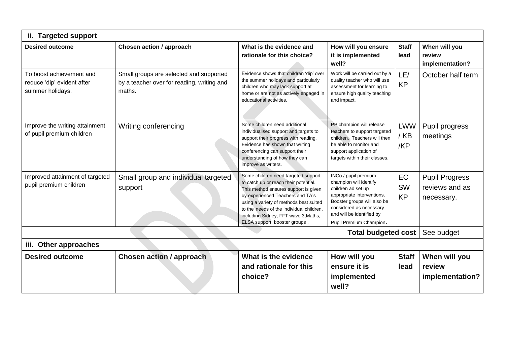| <b>Targeted support</b><br>ii.                                             |                                                                                                                                         |                                                                                                                                                                                                                                                                                                                         |                                                                                                                                                                                                                      |                              |                                                       |  |  |  |
|----------------------------------------------------------------------------|-----------------------------------------------------------------------------------------------------------------------------------------|-------------------------------------------------------------------------------------------------------------------------------------------------------------------------------------------------------------------------------------------------------------------------------------------------------------------------|----------------------------------------------------------------------------------------------------------------------------------------------------------------------------------------------------------------------|------------------------------|-------------------------------------------------------|--|--|--|
| <b>Desired outcome</b>                                                     | Chosen action / approach<br>How will you ensure<br>What is the evidence and<br>it is implemented<br>rationale for this choice?<br>well? |                                                                                                                                                                                                                                                                                                                         |                                                                                                                                                                                                                      | <b>Staff</b><br>lead         | When will you<br>review<br>implementation?            |  |  |  |
| To boost achievement and<br>reduce 'dip' evident after<br>summer holidays. | Small groups are selected and supported<br>by a teacher over for reading, writing and<br>maths.                                         | Evidence shows that children 'dip' over<br>the summer holidays and particularly<br>children who may lack support at<br>home or are not as actively engaged in<br>educational activities.                                                                                                                                | Work will be carried out by a<br>quality teacher who will use<br>assessment for learning to<br>ensure high quality teaching<br>and impact.                                                                           | LE/<br><b>KP</b>             | October half term                                     |  |  |  |
| Improve the writing attainment<br>of pupil premium children                | Writing conferencing                                                                                                                    | Some children need additional<br>individualised support and targets to<br>support their progress with reading.<br>Evidence has shown that writing<br>conferencing can support their<br>understanding of how they can<br>improve as writers.                                                                             | PP champion will release<br>teachers to support targeted<br>children. Teachers will then<br>be able to monitor and<br>support application of<br>targets within their classes.                                        | <b>LWW</b><br>$/$ KB<br>/KP  | Pupil progress<br>meetings                            |  |  |  |
| Improved attainment of targeted<br>pupil premium children                  | Small group and individual targeted<br>support                                                                                          | Some children need targeted support<br>to catch up or reach their potential.<br>This method ensures support is given<br>by experienced Teachers and TA's<br>using a variety of methods best suited<br>to the needs of the individual children.<br>including Sidney, FFT wave 3, Maths,<br>ELSA support, booster groups. | INCo / pupil premium<br>champion will identify<br>children ad set up<br>appropriate interventions.<br>Booster groups will also be<br>considered as necessary<br>and will be identified by<br>Pupil Premium Champion. | EC<br><b>SW</b><br><b>KP</b> | <b>Pupil Progress</b><br>reviews and as<br>necessary. |  |  |  |
|                                                                            |                                                                                                                                         |                                                                                                                                                                                                                                                                                                                         | <b>Total budgeted cost</b>                                                                                                                                                                                           |                              | See budget                                            |  |  |  |
| iii. Other approaches                                                      |                                                                                                                                         |                                                                                                                                                                                                                                                                                                                         |                                                                                                                                                                                                                      |                              |                                                       |  |  |  |
| <b>Desired outcome</b>                                                     | <b>Chosen action / approach</b>                                                                                                         | What is the evidence                                                                                                                                                                                                                                                                                                    | How will you                                                                                                                                                                                                         | <b>Staff</b>                 | When will you                                         |  |  |  |
|                                                                            |                                                                                                                                         | and rationale for this<br>choice?                                                                                                                                                                                                                                                                                       | ensure it is<br>implemented<br>well?                                                                                                                                                                                 | lead                         | review<br>implementation?                             |  |  |  |